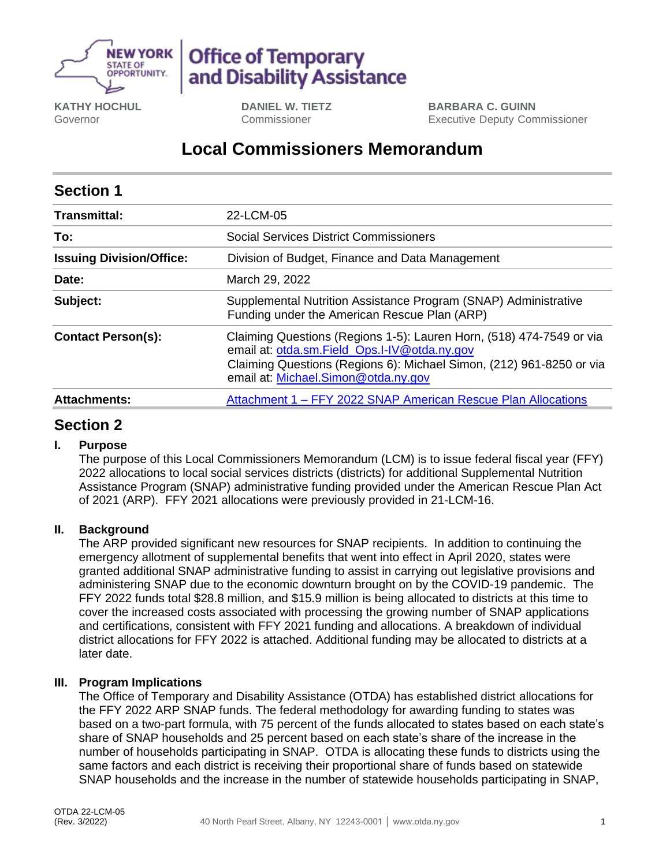

# **Office of Temporary** and Disability Assistance

**KATHY HOCHUL** Governor

**DANIEL W. TIETZ** Commissioner

**BARBARA C. GUINN** Executive Deputy Commissioner

## **Local Commissioners Memorandum**

| <b>Section 1</b>                |                                                                                                                                                                                                                                     |
|---------------------------------|-------------------------------------------------------------------------------------------------------------------------------------------------------------------------------------------------------------------------------------|
| <b>Transmittal:</b>             | 22-LCM-05                                                                                                                                                                                                                           |
| To:                             | <b>Social Services District Commissioners</b>                                                                                                                                                                                       |
| <b>Issuing Division/Office:</b> | Division of Budget, Finance and Data Management                                                                                                                                                                                     |
| Date:                           | March 29, 2022                                                                                                                                                                                                                      |
| Subject:                        | Supplemental Nutrition Assistance Program (SNAP) Administrative<br>Funding under the American Rescue Plan (ARP)                                                                                                                     |
| <b>Contact Person(s):</b>       | Claiming Questions (Regions 1-5): Lauren Horn, (518) 474-7549 or via<br>email at: otda.sm.Field_Ops.I-IV@otda.ny.gov<br>Claiming Questions (Regions 6): Michael Simon, (212) 961-8250 or via<br>email at: Michael.Simon@otda.ny.gov |
| <b>Attachments:</b>             | Attachment 1 – FFY 2022 SNAP American Rescue Plan Allocations                                                                                                                                                                       |

## **Section 2**

#### **I. Purpose**

The purpose of this Local Commissioners Memorandum (LCM) is to issue federal fiscal year (FFY) 2022 allocations to local social services districts (districts) for additional Supplemental Nutrition Assistance Program (SNAP) administrative funding provided under the American Rescue Plan Act of 2021 (ARP). FFY 2021 allocations were previously provided in 21-LCM-16.

#### **II. Background**

The ARP provided significant new resources for SNAP recipients. In addition to continuing the emergency allotment of supplemental benefits that went into effect in April 2020, states were granted additional SNAP administrative funding to assist in carrying out legislative provisions and administering SNAP due to the economic downturn brought on by the COVID-19 pandemic. The FFY 2022 funds total \$28.8 million, and \$15.9 million is being allocated to districts at this time to cover the increased costs associated with processing the growing number of SNAP applications and certifications, consistent with FFY 2021 funding and allocations. A breakdown of individual district allocations for FFY 2022 is attached. Additional funding may be allocated to districts at a later date.

#### **III. Program Implications**

The Office of Temporary and Disability Assistance (OTDA) has established district allocations for the FFY 2022 ARP SNAP funds. The federal methodology for awarding funding to states was based on a two-part formula, with 75 percent of the funds allocated to states based on each state's share of SNAP households and 25 percent based on each state's share of the increase in the number of households participating in SNAP. OTDA is allocating these funds to districts using the same factors and each district is receiving their proportional share of funds based on statewide SNAP households and the increase in the number of statewide households participating in SNAP,